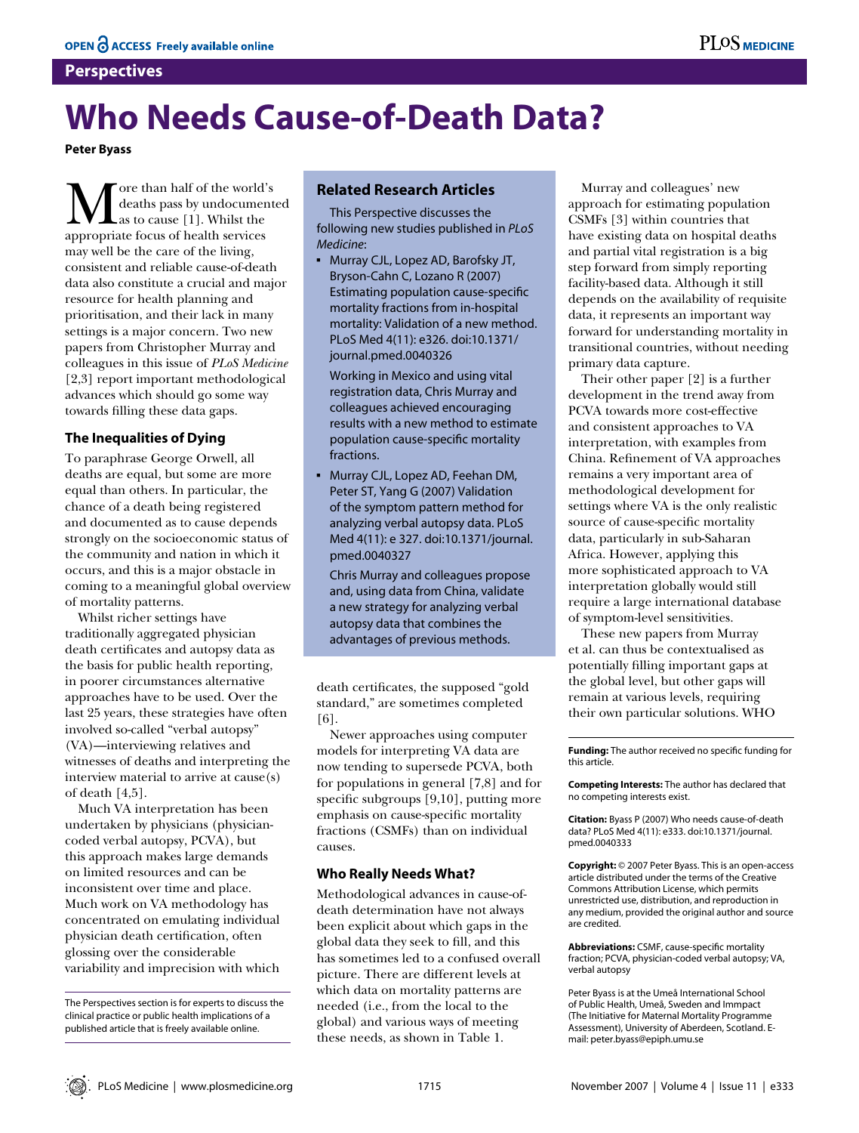### **Perspectives**

# **Who Needs Cause-of-Death Data?**

**Peter Byass**

More than half of the world's<br>deaths pass by undocument<br>as to cause [1]. Whilst the<br>appropriate focus of health services deaths pass by undocumented as to cause [1]. Whilst the appropriate focus of health services may well be the care of the living, consistent and reliable cause-of-death data also constitute a crucial and major resource for health planning and prioritisation, and their lack in many settings is a major concern. Two new papers from Christopher Murray and colleagues in this issue of *PLoS Medicine*  [2,3] report important methodological advances which should go some way towards filling these data gaps.

### **The Inequalities of Dying**

To paraphrase George Orwell, all deaths are equal, but some are more equal than others. In particular, the chance of a death being registered and documented as to cause depends strongly on the socioeconomic status of the community and nation in which it occurs, and this is a major obstacle in coming to a meaningful global overview of mortality patterns.

Whilst richer settings have traditionally aggregated physician death certificates and autopsy data as the basis for public health reporting, in poorer circumstances alternative approaches have to be used. Over the last 25 years, these strategies have often involved so-called "verbal autopsy" (VA)—interviewing relatives and witnesses of deaths and interpreting the interview material to arrive at cause(s) of death [4,5].

Much VA interpretation has been undertaken by physicians (physiciancoded verbal autopsy, PCVA), but this approach makes large demands on limited resources and can be inconsistent over time and place. Much work on VA methodology has concentrated on emulating individual physician death certification, often glossing over the considerable variability and imprecision with which

## **Related Research Articles**

This Perspective discusses the following new studies published in *PLoS Medicine*:

▪ Murray CJL, Lopez AD, Barofsky JT, Bryson-Cahn C, Lozano R (2007) Estimating population cause-specific mortality fractions from in-hospital mortality: Validation of a new method. PLoS Med 4(11): e326. doi:10.1371/ journal.pmed.0040326

Working in Mexico and using vital registration data, Chris Murray and colleagues achieved encouraging results with a new method to estimate population cause-specific mortality fractions.

▪ Murray CJL, Lopez AD, Feehan DM, Peter ST, Yang G (2007) Validation of the symptom pattern method for analyzing verbal autopsy data. PLoS Med 4(11): e 327. doi:10.1371/journal. pmed.0040327

Chris Murray and colleagues propose and, using data from China, validate a new strategy for analyzing verbal autopsy data that combines the advantages of previous methods.

death certificates, the supposed "gold standard," are sometimes completed [6].

Newer approaches using computer models for interpreting VA data are now tending to supersede PCVA, both for populations in general [7,8] and for specific subgroups [9,10], putting more emphasis on cause-specific mortality fractions (CSMFs) than on individual causes.

### **Who Really Needs What?**

Methodological advances in cause-ofdeath determination have not always been explicit about which gaps in the global data they seek to fill, and this has sometimes led to a confused overall picture. There are different levels at which data on mortality patterns are needed (i.e., from the local to the global) and various ways of meeting these needs, as shown in Table 1.

Murray and colleagues' new approach for estimating population CSMFs [3] within countries that have existing data on hospital deaths and partial vital registration is a big step forward from simply reporting facility-based data. Although it still depends on the availability of requisite data, it represents an important way forward for understanding mortality in transitional countries, without needing primary data capture.

Their other paper [2] is a further development in the trend away from PCVA towards more cost-effective and consistent approaches to VA interpretation, with examples from China. Refinement of VA approaches remains a very important area of methodological development for settings where VA is the only realistic source of cause-specific mortality data, particularly in sub-Saharan Africa. However, applying this more sophisticated approach to VA interpretation globally would still require a large international database of symptom-level sensitivities.

These new papers from Murray et al. can thus be contextualised as potentially filling important gaps at the global level, but other gaps will remain at various levels, requiring their own particular solutions. WHO

**Funding:** The author received no specific funding for this article.

**Competing Interests:** The author has declared that no competing interests exist.

**Citation:** Byass P (2007) Who needs cause-of-death data? PLoS Med 4(11): e333. doi:10.1371/journal. pmed.0040333

**Copyright:** © 2007 Peter Byass. This is an open-access article distributed under the terms of the Creative Commons Attribution License, which permits unrestricted use, distribution, and reproduction in any medium, provided the original author and source are credited.

**Abbreviations:** CSMF, cause-specific mortality fraction; PCVA, physician-coded verbal autopsy; VA, verbal autopsy

Peter Byass is at the Umeå International School of Public Health, Umeå, Sweden and Immpact (The Initiative for Maternal Mortality Programme Assessment), University of Aberdeen, Scotland. Email: peter.byass@epiph.umu.se

The Perspectives section is for experts to discuss the clinical practice or public health implications of a published article that is freely available online.